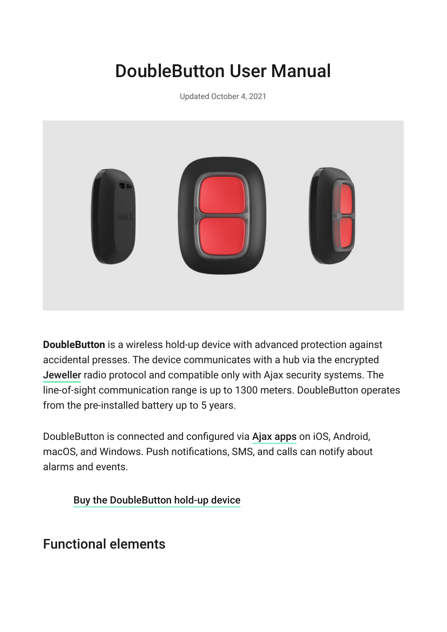# DoubleButton User Manual

Updated October 4, 2021



**DoubleButton** is a wireless hold-up device with advanced protection against accidental presses. The device communicates with a hub via the encrypted [Jeweller](https://ajax.systems/jeweller/) radio protocol and compatible only with Ajax security systems. The line-of-sight communication range is up to 1300 meters. DoubleButton operates from the pre-installed battery up to 5 years.

DoubleButton is connected and configured via Ajax apps on iOS, Android, macOS, and Windows. Push notifications, SMS, and calls can notify about alarms and events.

[Buy the DoubleButton hold-up device](https://ajax.systems/products/doublebutton/)

### Functional elements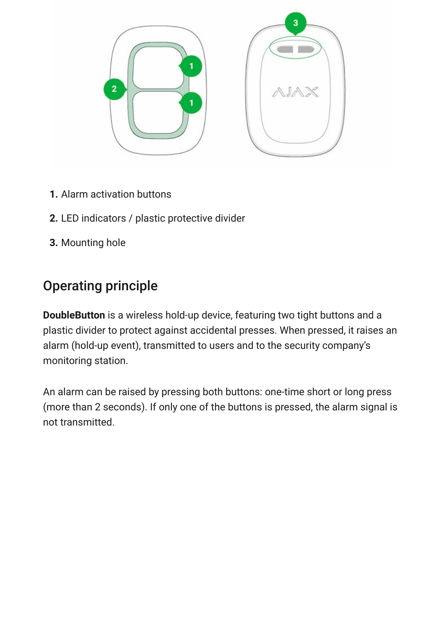

- **1.** Alarm activation buttons
- **2.** LED indicators / plastic protective divider
- **3.** Mounting hole

# Operating principle

**DoubleButton** is a wireless hold-up device, featuring two tight buttons and a plastic divider to protect against accidental presses. When pressed, it raises an alarm (hold-up event), transmitted to users and to the security company's monitoring station.

An alarm can be raised by pressing both buttons: one-time short or long press (more than 2 seconds). If only one of the buttons is pressed, the alarm signal is not transmitted.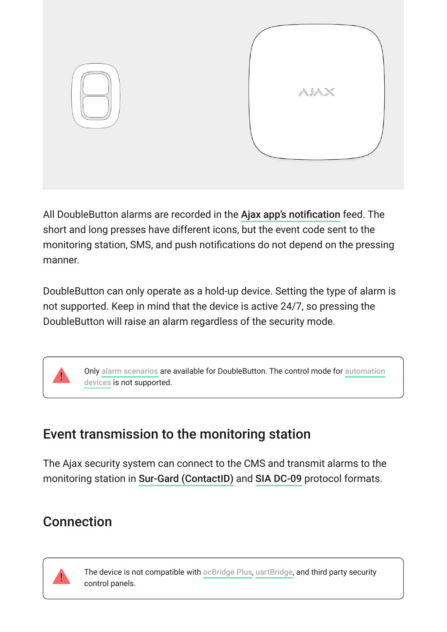

All DoubleButton alarms are recorded in the Ajax app's notification feed. The short and long presses have different icons, but the event code sent to the monitoring station, SMS, and push notifications do not depend on the pressing manner.

DoubleButton can only operate as a hold-up device. Setting the type of alarm is not supported. Keep in mind that the device is active 24/7, so pressing the DoubleButton will raise an alarm regardless of the security mode.



# Event transmission to the monitoring station

The Ajax security system can connect to the CMS and transmit alarms to the monitoring station in Sur-Gard (ContactID) and SIA DC-09 protocol formats.

# Connection



The device is not compatible with ocBridge Plus[,](https://ajax.systems/products/ocbridgeplus/) uartBridge, and third party security control panels.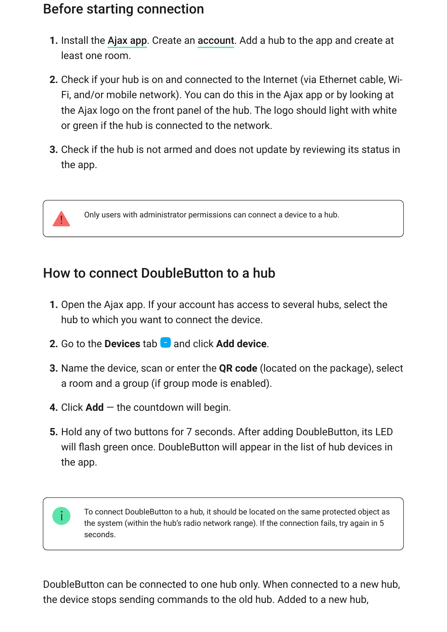### Before starting connection

- **1.**Install the Ajax app. Create an account. Add a hub to the app and create at least one room.
- **2.** Check if your hub is on and connected to the Internet (via Ethernet cable, Wi-Fi, and/or mobile network). You can do this in the Ajax app or by looking at the Ajax logo on the front panel of the hub. The logo should light with white or green if the hub is connected to the network.
- **3.** Check if the hub is not armed and does not update by reviewing its status in the app.



 $\mathbf{i}$ 

Only users with administrator permissions can connect a device to a hub.

### How to connect DoubleButton to a hub

- **1.** Open the Ajax app. If your account has access to several hubs, select the hub to which you want to connect the device.
- **2.** Go to the **Devices** tab **a** and click **Add device**.
- **3.** Name the device, scan or enter the **QR code** (located on the package), select a room and a group (if group mode is enabled).
- **4.** Click **Add** the countdown will begin.
- **5.** Hold any of two buttons for 7 seconds. After adding DoubleButton, its LED will flash green once. DoubleButton will appear in the list of hub devices in the app.

To connect DoubleButton to a hub, it should be located on the same protected object as the system (within the hub's radio network range). If the connection fails, try again in 5 seconds.

DoubleButton can be connected to one hub only. When connected to a new hub, the device stops sending commands to the old hub. Added to a new hub,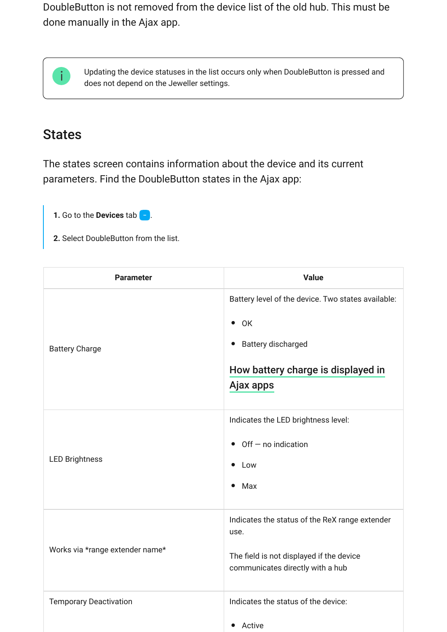DoubleButton is not removed from the device list of the old hub. This must be done manually in the Ajax app.



Updating the device statuses in the list occurs only when DoubleButton is pressed and does not depend on the Jeweller settings.

#### **States**

The states screen contains information about the device and its current parameters. Find the DoubleButton states in the Ajax app:

- **1.** Go to the **Devices** tab  $\begin{bmatrix} \end{bmatrix}$ .
- **2.** Select DoubleButton from the list.

| <b>Parameter</b>                | <b>Value</b>                                                                                                                                       |
|---------------------------------|----------------------------------------------------------------------------------------------------------------------------------------------------|
| <b>Battery Charge</b>           | Battery level of the device. Two states available:<br>$\bullet$ OK<br><b>Battery discharged</b><br>How battery charge is displayed in<br>Ajax apps |
| <b>LED Brightness</b>           | Indicates the LED brightness level:<br>$\bullet$ Off $-$ no indication<br>• Low<br>Max<br>$\bullet$                                                |
| Works via *range extender name* | Indicates the status of the ReX range extender<br>use.<br>The field is not displayed if the device<br>communicates directly with a hub             |
| <b>Temporary Deactivation</b>   | Indicates the status of the device:<br>Active<br>$\bullet$                                                                                         |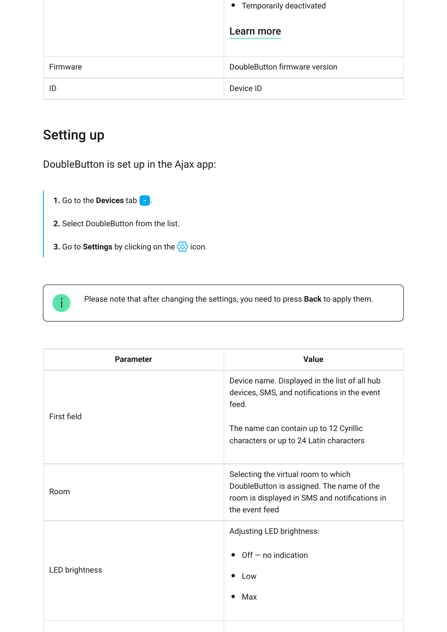|          | • Temporarily deactivated     |
|----------|-------------------------------|
|          | Learn more                    |
| Firmware | DoubleButton firmware version |
| ID       | Device ID                     |

# Setting up

DoubleButton is set up in the Ajax app:

- **1.** Go to the **Devices** tab  $\begin{bmatrix} \end{bmatrix}$ .
- **2.** Select DoubleButton from the list.
- **3.** Go to **Settings** by clicking on the  $\{\hat{\odot}\}$  icon.



Please note that after changing the settings, you need to press **Back** to apply them.

| <b>Parameter</b>      | <b>Value</b>                                                                                                                                                                                |
|-----------------------|---------------------------------------------------------------------------------------------------------------------------------------------------------------------------------------------|
| First field           | Device name. Displayed in the list of all hub<br>devices, SMS, and notifications in the event<br>feed.<br>The name can contain up to 12 Cyrillic<br>characters or up to 24 Latin characters |
| Room                  | Selecting the virtual room to which<br>DoubleButton is assigned. The name of the<br>room is displayed in SMS and notifications in<br>the event feed                                         |
| <b>LED brightness</b> | Adjusting LED brightness:<br>$\bullet$ Off $-$ no indication<br>Low<br>Max<br>$\bullet$                                                                                                     |
|                       |                                                                                                                                                                                             |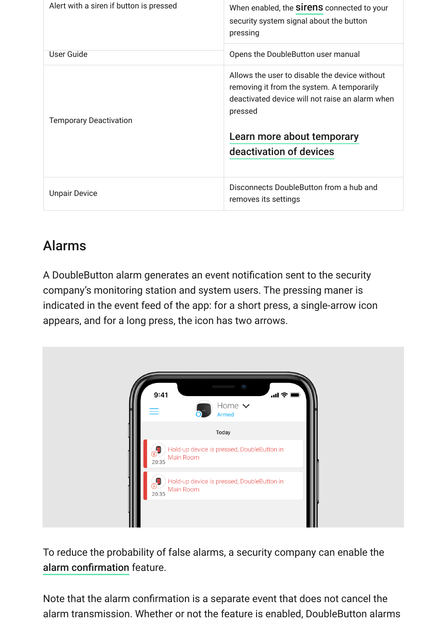| Alert with a siren if button is pressed | When enabled, the <b>Sirens</b> connected to your<br>security system signal about the button<br>pressing                                                                                |
|-----------------------------------------|-----------------------------------------------------------------------------------------------------------------------------------------------------------------------------------------|
| User Guide                              | Opens the DoubleButton user manual                                                                                                                                                      |
| <b>Temporary Deactivation</b>           | Allows the user to disable the device without<br>removing it from the system. A temporarily<br>deactivated device will not raise an alarm when<br>pressed<br>Learn more about temporary |
|                                         | deactivation of devices                                                                                                                                                                 |
| <b>Unpair Device</b>                    | Disconnects DoubleButton from a hub and<br>removes its settings                                                                                                                         |

# Alarms

A DoubleButton alarm generates an event notification sent to the security company's monitoring station and system users. The pressing maner is indicated in the event feed of the app: for a short press, a single-arrow icon appears, and for a long press, the icon has two arrows.



To reduce the probability of false alarms, a security company can enable the [alarm confirmation](#page-10-0) feature.

Note that the alarm confirmation is a separate event that does not cancel the alarm transmission. Whether or not the feature is enabled, DoubleButton alarms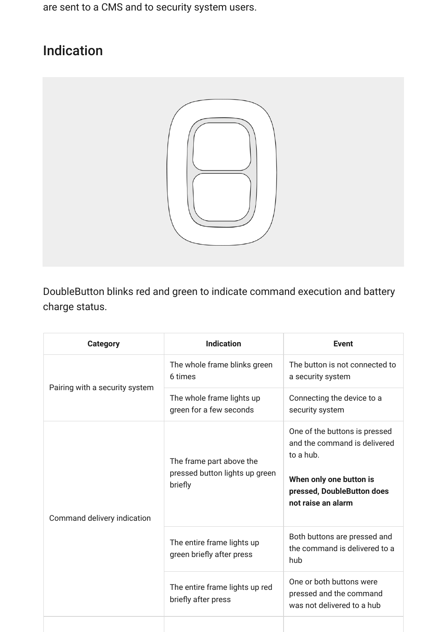are sent to a CMS and to security system users.

# Indication



DoubleButton blinks red and green to indicate command execution and battery charge status.

| <b>Category</b>                | <b>Indication</b>                                                                               | <b>Event</b>                                                                                                                                              |
|--------------------------------|-------------------------------------------------------------------------------------------------|-----------------------------------------------------------------------------------------------------------------------------------------------------------|
|                                | The whole frame blinks green<br>6 times<br>The whole frame lights up<br>green for a few seconds | The button is not connected to<br>a security system                                                                                                       |
| Pairing with a security system |                                                                                                 | Connecting the device to a<br>security system                                                                                                             |
| Command delivery indication    | The frame part above the<br>pressed button lights up green<br>briefly                           | One of the buttons is pressed<br>and the command is delivered<br>to a hub.<br>When only one button is<br>pressed, DoubleButton does<br>not raise an alarm |
|                                | The entire frame lights up<br>green briefly after press                                         | Both buttons are pressed and<br>the command is delivered to a<br>hub                                                                                      |
|                                | The entire frame lights up red<br>briefly after press                                           | One or both buttons were<br>pressed and the command<br>was not delivered to a hub                                                                         |
|                                |                                                                                                 |                                                                                                                                                           |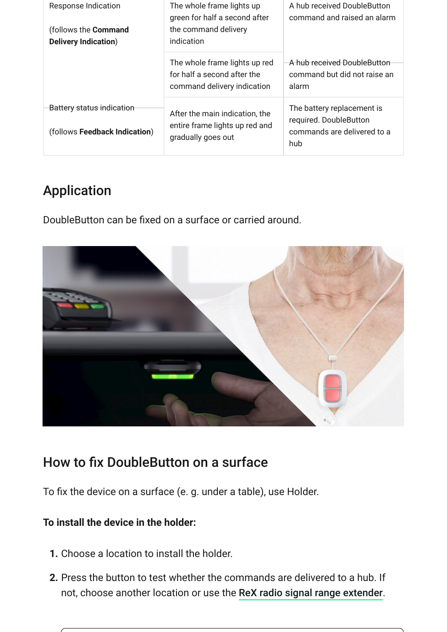| <b>Response Indication</b>                                  | The whole frame lights up<br>green for half a second after                                  | A hub received DoubleButton<br>command and raised an alarm                                 |
|-------------------------------------------------------------|---------------------------------------------------------------------------------------------|--------------------------------------------------------------------------------------------|
| (follows the <b>Command</b><br><b>Delivery Indication</b> ) | the command delivery<br>indication                                                          |                                                                                            |
|                                                             | The whole frame lights up red<br>for half a second after the<br>command delivery indication | A hub received DoubleButton<br>command but did not raise an<br>alarm                       |
| Battery status indication<br>(follows Feedback Indication)  | After the main indication, the<br>entire frame lights up red and<br>gradually goes out      | The battery replacement is<br>required. DoubleButton<br>commands are delivered to a<br>hub |

# Application

DoubleButton can be fixed on a surface or carried around.



# How to fix DoubleButton on a surface

To fix the device on a surface (e. g. under a table), use Holder.

#### **To install the device in the holder:**

- **1.** Choose a location to install the holder.
- **2.** Press the button to test whether the commands are delivered to a hub. If not, choose another location or use the [ReX radio signal range extender](https://ajax.systems/products/rex/).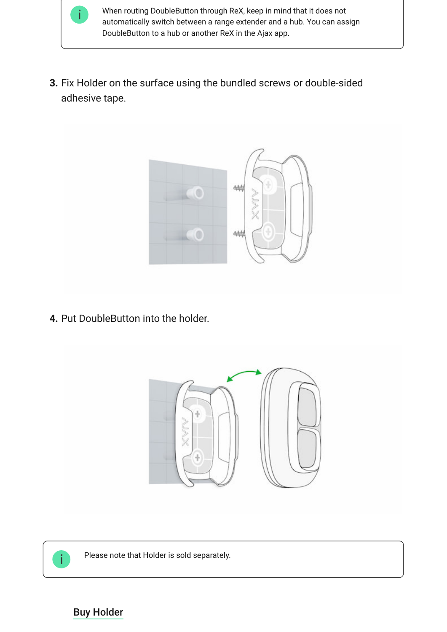

When routing DoubleButton through ReX, keep in mind that it does not automatically switch between a range extender and a hub. You can assign DoubleButton to a hub or another ReX in the Ajax app.

**3.** Fix Holder on the surface using the bundled screws or double-sided adhesive tape.



**4.** Put DoubleButton into the holder.





Please note that Holder is sold separately.

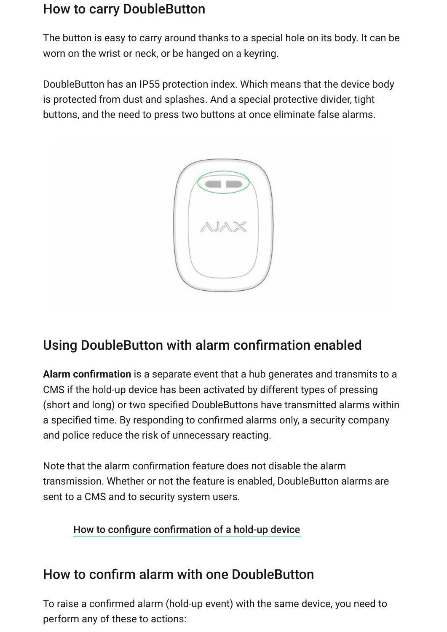### How to carry DoubleButton

The button is easy to carry around thanks to a special hole on its body. It can be worn on the wrist or neck, or be hanged on a keyring.

DoubleButton has an IP55 protection index. Which means that the device body is protected from dust and splashes. And a special protective divider, tight buttons, and the need to press two buttons at once eliminate false alarms.



# <span id="page-10-0"></span>Using DoubleButton with alarm confirmation enabled

**Alarm confirmation** is a separate event that a hub generates and transmits to a CMS if the hold-up device has been activated by different types of pressing (short and long) or two specified DoubleButtons have transmitted alarms within a specified time. By responding to confirmed alarms only, a security company and police reduce the risk of unnecessary reacting.

Note that the alarm confirmation feature does not disable the alarm transmission. Whether or not the feature is enabled, DoubleButton alarms are sent to a CMS and to security system users.

#### [How to configure confirmation of a hold-up device](https://support.ajax.systems/en/system-congifure-pd-6662-2017/#block1-2)

# How to confirm alarm with one DoubleButton

To raise a confirmed alarm (hold-up event) with the same device, you need to perform any of these to actions: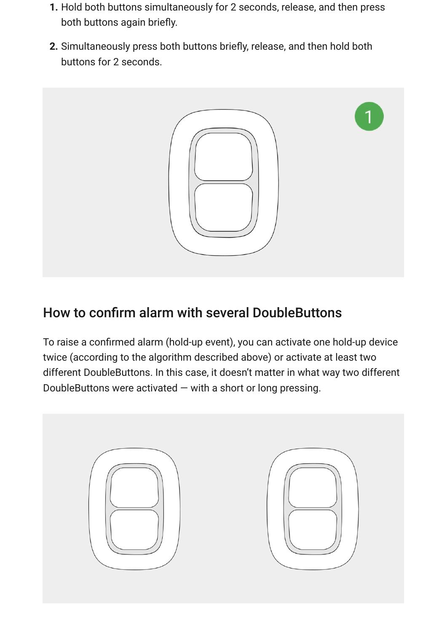- **1.** Hold both buttons simultaneously for 2 seconds, release, and then press both buttons again briefly.
- **2.** Simultaneously press both buttons briefly, release, and then hold both buttons for 2 seconds.



# How to confirm alarm with several DoubleButtons

To raise a confirmed alarm (hold-up event), you can activate one hold-up device twice (according to the algorithm described above) or activate at least two different DoubleButtons. In this case, it doesn't matter in what way two different DoubleButtons were activated  $-$  with a short or long pressing.

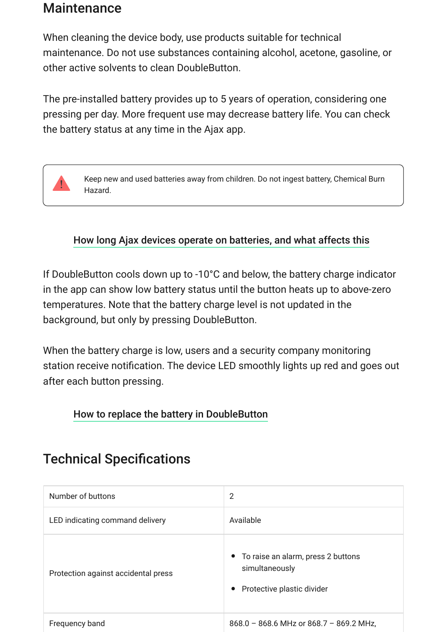#### **Maintenance**

When cleaning the device body, use products suitable for technical maintenance. Do not use substances containing alcohol, acetone, gasoline, or other active solvents to clean DoubleButton.

The pre-installed battery provides up to 5 years of operation, considering one pressing per day. More frequent use may decrease battery life. You can check the battery status at any time in the Ajax app.



#### [How long Ajax devices operate on batteries, and what affects this](https://support.ajax.systems/en/how-long-operate-from-batteries/)

If DoubleButton cools down up to -10°C and below, the battery charge indicator in the app can show low battery status until the button heats up to above-zero temperatures. Note that the battery charge level is not updated in the background, but only by pressing DoubleButton.

When the battery charge is low, users and a security company monitoring station receive notification. The device LED smoothly lights up red and goes out after each button pressing.

#### [How to replace the battery in DoubleButton](https://support.ajax.systems/en/how-to-replace-battery-in-doublebutton/)

### Technical Specifications

| Number of buttons                   | 2                                                                                                 |
|-------------------------------------|---------------------------------------------------------------------------------------------------|
| LED indicating command delivery     | Available                                                                                         |
| Protection against accidental press | • To raise an alarm, press 2 buttons<br>simultaneously<br>Protective plastic divider<br>$\bullet$ |
| Frequency band                      | $868.0 - 868.6$ MHz or $868.7 - 869.2$ MHz,                                                       |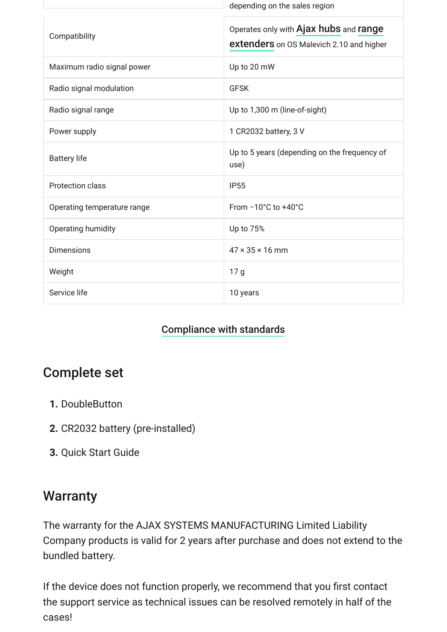|                             | depending on the sales region                                                      |
|-----------------------------|------------------------------------------------------------------------------------|
| Compatibility               | Operates only with Ajax hubs and range<br>extenders on OS Malevich 2.10 and higher |
| Maximum radio signal power  | Up to 20 mW                                                                        |
| Radio signal modulation     | <b>GFSK</b>                                                                        |
| Radio signal range          | Up to 1,300 m (line-of-sight)                                                      |
| Power supply                | 1 CR2032 battery, 3 V                                                              |
| <b>Battery life</b>         | Up to 5 years (depending on the frequency of<br>use)                               |
| <b>Protection class</b>     | <b>IP55</b>                                                                        |
| Operating temperature range | From $-10^{\circ}$ C to $+40^{\circ}$ C                                            |
| Operating humidity          | Up to 75%                                                                          |
| <b>Dimensions</b>           | $47 \times 35 \times 16$ mm                                                        |
| Weight                      | 17 g                                                                               |
| Service life                | 10 years                                                                           |

#### [Compliance with standards](https://ajax.systems/standards/)

### Complete set

- **1.** DoubleButton
- **2.** CR2032 battery (pre-installed)
- **3.** Quick Start Guide

#### **Warranty**

The warranty for the AJAX SYSTEMS MANUFACTURING Limited Liability Company products is valid for 2 years after purchase and does not extend to the bundled battery.

If the device does not function properly, we recommend that you first contact the support service as technical issues can be resolved remotely in half of the cases!